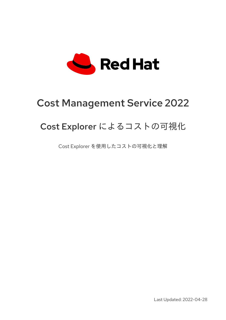

# Cost Management Service 2022

# Cost Explorer によるコストの可視化

Cost Explorer を使用したコストの可視化と理解

Last Updated: 2022-04-28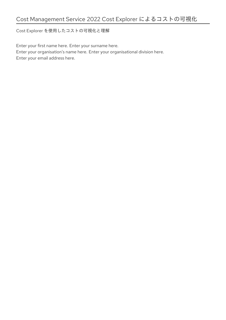Cost Explorer を使用したコストの可視化と理解

Enter your first name here. Enter your surname here. Enter your organisation's name here. Enter your organisational division here. Enter your email address here.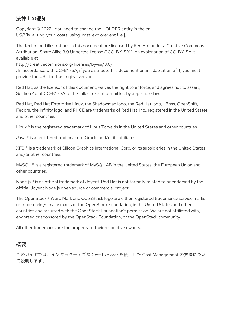## 法律上の通知

Copyright © 2022 | You need to change the HOLDER entity in the en-US/Visualizing\_your\_costs\_using\_cost\_explorer.ent file |.

The text of and illustrations in this document are licensed by Red Hat under a Creative Commons Attribution–Share Alike 3.0 Unported license ("CC-BY-SA"). An explanation of CC-BY-SA is available at

http://creativecommons.org/licenses/by-sa/3.0/

. In accordance with CC-BY-SA, if you distribute this document or an adaptation of it, you must provide the URL for the original version.

Red Hat, as the licensor of this document, waives the right to enforce, and agrees not to assert, Section 4d of CC-BY-SA to the fullest extent permitted by applicable law.

Red Hat, Red Hat Enterprise Linux, the Shadowman logo, the Red Hat logo, JBoss, OpenShift, Fedora, the Infinity logo, and RHCE are trademarks of Red Hat, Inc., registered in the United States and other countries.

Linux ® is the registered trademark of Linus Torvalds in the United States and other countries.

Java ® is a registered trademark of Oracle and/or its affiliates.

XFS ® is a trademark of Silicon Graphics International Corp. or its subsidiaries in the United States and/or other countries.

MySQL<sup>®</sup> is a registered trademark of MySQL AB in the United States, the European Union and other countries.

Node.js ® is an official trademark of Joyent. Red Hat is not formally related to or endorsed by the official Joyent Node.js open source or commercial project.

The OpenStack ® Word Mark and OpenStack logo are either registered trademarks/service marks or trademarks/service marks of the OpenStack Foundation, in the United States and other countries and are used with the OpenStack Foundation's permission. We are not affiliated with, endorsed or sponsored by the OpenStack Foundation, or the OpenStack community.

All other trademarks are the property of their respective owners.

## 概要

このガイドでは、インタラクティブな Cost Explorer を使用した Cost Management の方法につい て説明します。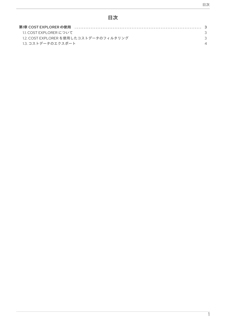# 目次

| 11 COST FXPLORER について                  |  |
|----------------------------------------|--|
| 1.2. COST EXPLORER を使用したコストデータのフィルタリング |  |
| 1.3. コストデータのエクスポート                     |  |
|                                        |  |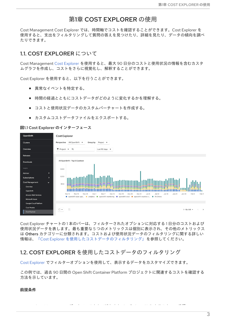## 第1章 COST EXPLORER の使用

<span id="page-6-0"></span>Cost Management Cost Explorer では、時間軸でコストを確認することができます。Cost Explorer を 使用すると、支出をフィルタリングして質問の答えを見つけたり、詳細を見たり、データの傾向を調べ たりできます。

## <span id="page-6-1"></span>1.1. COST EXPLORER について

Cost Management Cost [Explorer](https://console.redhat.com/openshift/cost-management/explorer) を使用すると、最大 90 日分のコストと使用状況の情報を含むカスタ ムグラフを作成し、コストをさらに視覚化し、解釈することができます。

Cost Explorer を使用すると、以下を行うことができます。

- 異常なイベントを特定する。
- 時間の経過とともにコストデータがどのように変化するかを理解する。
- コストと使用状況データのカスタムバーチャートを作成する。
- カスタムコストデータファイルをエクスポートする。

#### 図1.1 Cost Explorer のインターフェース



Cost Explorer チャートの 1 本のバーは、フィルターされたオプションに対応する 1 日分のコストおよび 使用状況データを表します。最も重要な 5 つのメトリックスは個別に表示され、その他のメトリックス は Others カテゴリーに分類されます。コストおよび使用状況データのフィルタリングに関する詳しい 情報は、「Cost Explorer [を使用したコストデータのフィルタリング」](#page-7-1)を参照してください。

## <span id="page-6-2"></span>1.2. COST EXPLORER を使用したコストデータのフィルタリング

Cost [Explorer](https://console.redhat.com/openshift/cost-management/explorer) でフィルターオプションを使用して、表示するデータをカスタマイズできます。

この例では、過去 90 日間の Open Shift Container Platform プロジェクトに関連するコストを確認する 方法を示しています。

Cost Management データソースとして追加されている OpenShift クラスター。手順

#### 前提条件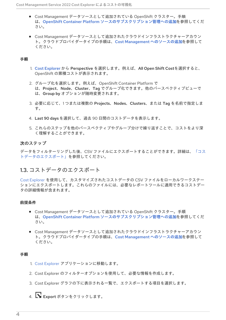- <span id="page-7-1"></span>● Cost Management データソースとして追加されている OpenShift クラスター。手順 は、OpenShift Container Platform [ソースのサブスクリプション管理への追加を](https://access.redhat.com/documentation/ja-jp/cost_management_service/2022/html-single/adding_an_openshift_container_platform_source_to_cost_management/index)参照してくだ さい。
- Cost Management データソースとして追加されたクラウドインフラストラクチャーアカウン ト。クラウドプロバイダータイプの手順は、Cost Management [へのソースの追加](https://access.redhat.com/documentation/ja-jp/cost_management_service/2022/html-single/getting_started_with_cost_management/index#adding-sources_configuring)を参照して ください。

### 手順

- 1. Cost [Explorer](https://console.redhat.com/openshift/cost-management/explorer) から Perspective を選択します。例えば、All Open Shift Costを選択すると、 OpenShift の累積コストが表示されます。
- 2. グループ化を選択します。例えば、OpenShift Container Platform で は、Project、Node、Cluster、Tag でグループ化できます。他のパースペクティブビューで は、Group by オプションが随時変更されます。
- 3. 必要に応じて、1 つまたは複数の Projects、Nodes、Clusters、または Tag を名前で指定しま す。
- 4. Last 90 daysを選択して、過去 90 日間のコストデータを表示します。
- 5. これらのステップを他のパースペクティブやグループ分けで繰り返すことで、コストをより深 く理解することができます。

### 次のステップ

データをフィルターリングした後、CSV [ファイルにエクスポートすることができます。詳細は、「コス](#page-7-0) トデータのエクスポート」を参照してください。

# <span id="page-7-0"></span>1.3. コストデータのエクスポート

Cost [Explorer](https://console.redhat.com/openshift/cost-management/explorer) を使用して、カスタマイズされたコストデータの CSV ファイルをローカルワークステー ションにエクスポートします。これらのファイルには、必要なレポートツールに適用できるコストデー タの詳細情報が含まれます。

#### 前提条件

- Cost Management データソースとして追加されている OpenShift クラスター。手順 は、OpenShift Container Platform [ソースのサブスクリプション管理への追加を](https://access.redhat.com/documentation/ja-jp/cost_management_service/2022/html-single/adding_an_openshift_container_platform_source_to_cost_management/index)参照してくだ さい。
- Cost Management データソースとして追加されたクラウドインフラストラクチャーアカウン ト。クラウドプロバイダータイプの手順は、Cost Management [へのソースの追加](https://access.redhat.com/documentation/ja-jp/cost_management_service/2022/html-single/getting_started_with_cost_management/index#adding-sources_configuring)を参照して ください。

#### 手順

- 1. Cost [Explorer](https://console.redhat.com/openshift/cost-management/explorer) アプリケーションに移動します。
- 2. Cost Explorer のフィルターオプションを使用して、必要な情報を作成します。
- 3. Cost Explorer グラフの下に表示される一覧で、エクスポートする項目を選択します。
- 4.  $\Box$  Export ボタンをクリックします。